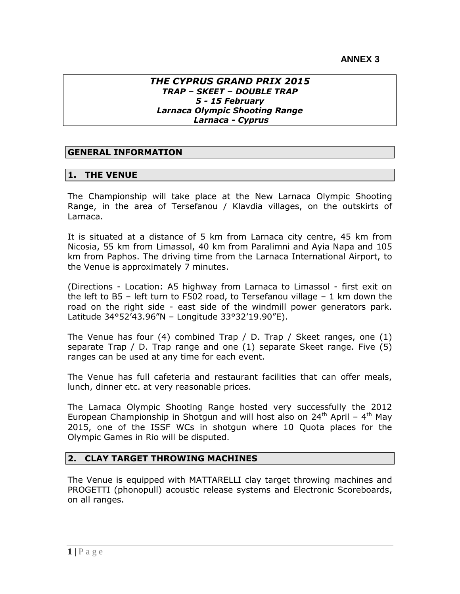### *THE CYPRUS GRAND PRIX 2015 TRAP – SKEET – DOUBLE TRAP 5 - 15 February Larnaca Olympic Shooting Range Larnaca - Cyprus*

## **GENERAL INFORMATION**

### **1. THE VENUE**

The Championship will take place at the New Larnaca Olympic Shooting Range, in the area of Tersefanou / Klavdia villages, on the outskirts of Larnaca.

It is situated at a distance of 5 km from Larnaca city centre, 45 km from Nicosia, 55 km from Limassol, 40 km from Paralimni and Ayia Napa and 105 km from Paphos. The driving time from the Larnaca International Airport, to the Venue is approximately 7 minutes.

(Directions - Location: A5 highway from Larnaca to Limassol - first exit on the left to  $B5$  – left turn to F502 road, to Tersefanou village  $-1$  km down the road on the right side - east side of the windmill power generators park. Latitude 34°52'43.96"N – Longitude 33°32'19.90"E).

The Venue has four (4) combined Trap / D. Trap / Skeet ranges, one (1) separate Trap / D. Trap range and one (1) separate Skeet range. Five (5) ranges can be used at any time for each event.

The Venue has full cafeteria and restaurant facilities that can offer meals, lunch, dinner etc. at very reasonable prices.

The Larnaca Olympic Shooting Range hosted very successfully the 2012 European Championship in Shotgun and will host also on 24<sup>th</sup> April - 4<sup>th</sup> May 2015, one of the ISSF WCs in shotgun where 10 Quota places for the Olympic Games in Rio will be disputed.

## **2. CLAY TARGET THROWING MACHINES**

The Venue is equipped with MATTARELLI clay target throwing machines and PROGETTI (phonopull) acoustic release systems and Electronic Scoreboards, on all ranges.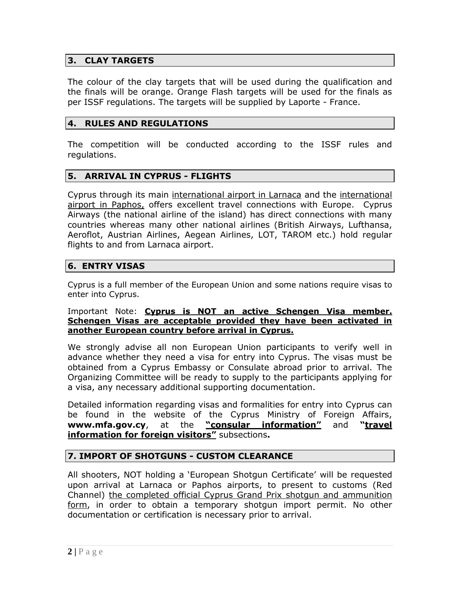## **3. CLAY TARGETS**

The colour of the clay targets that will be used during the qualification and the finals will be orange. Orange Flash targets will be used for the finals as per ISSF regulations. The targets will be supplied by Laporte - France.

## **4. RULES AND REGULATIONS**

The competition will be conducted according to the ISSF rules and regulations.

### **5. ARRIVAL IN CYPRUS - FLIGHTS**

Cyprus through its main international airport in Larnaca and the international airport in Paphos, offers excellent travel connections with Europe. Cyprus Airways (the national airline of the island) has direct connections with many countries whereas many other national airlines (British Airways, Lufthansa, Aeroflot, Austrian Airlines, Aegean Airlines, LOT, TAROM etc.) hold regular flights to and from Larnaca airport.

## **6. ENTRY VISAS**

Cyprus is a full member of the European Union and some nations require visas to enter into Cyprus.

#### Important Note: **Cyprus is NOT an active Schengen Visa member. Schengen Visas are acceptable provided they have been activated in another European country before arrival in Cyprus.**

We strongly advise all non European Union participants to verify well in advance whether they need a visa for entry into Cyprus. The visas must be obtained from a Cyprus Embassy or Consulate abroad prior to arrival. The Organizing Committee will be ready to supply to the participants applying for a visa, any necessary additional supporting documentation.

Detailed information regarding visas and formalities for entry into Cyprus can be found in the website of the Cyprus Ministry of Foreign Affairs, **[www.mfa.gov.cy](http://www.mfa.gov.cy/)**, at the **"consular information"** and **"travel information for foreign visitors"** subsections**.** 

## **7. IMPORT OF SHOTGUNS - CUSTOM CLEARANCE**

All shooters, NOT holding a 'European Shotgun Certificate' will be requested upon arrival at Larnaca or Paphos airports, to present to customs (Red Channel) the completed official Cyprus Grand Prix shotgun and ammunition form, in order to obtain a temporary shotgun import permit. No other documentation or certification is necessary prior to arrival.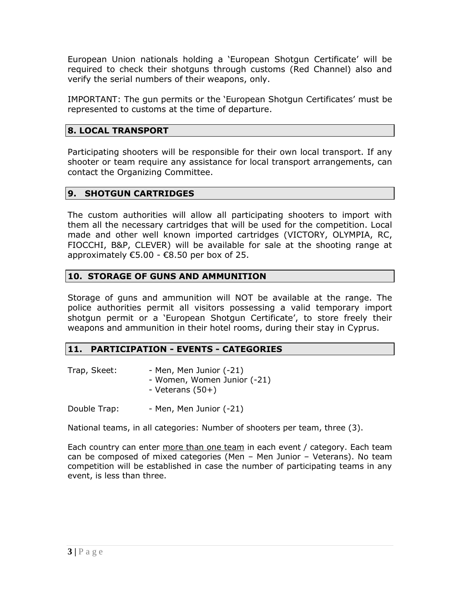European Union nationals holding a 'European Shotgun Certificate' will be required to check their shotguns through customs (Red Channel) also and verify the serial numbers of their weapons, only.

IMPORTANT: The gun permits or the 'European Shotgun Certificates' must be represented to customs at the time of departure.

# **8. LOCAL TRANSPORT**

Participating shooters will be responsible for their own local transport. If any shooter or team require any assistance for local transport arrangements, can contact the Organizing Committee.

# **9. SHOTGUN CARTRIDGES**

The custom authorities will allow all participating shooters to import with them all the necessary cartridges that will be used for the competition. Local made and other well known imported cartridges (VICTORY, OLYMPIA, RC, FIOCCHI, B&P, CLEVER) will be available for sale at the shooting range at approximately  $\epsilon$ 5.00 -  $\epsilon$ 8.50 per box of 25.

# **10. STORAGE OF GUNS AND AMMUNITION**

Storage of guns and ammunition will NOT be available at the range. The police authorities permit all visitors possessing a valid temporary import shotgun permit or a 'European Shotgun Certificate', to store freely their weapons and ammunition in their hotel rooms, during their stay in Cyprus.

# **11. PARTICIPATION - EVENTS - CATEGORIES**

| Trap, Skeet: | - Men, Men Junior (-21)     |
|--------------|-----------------------------|
|              | - Women, Women Junior (-21) |
|              | - Veterans $(50+)$          |

Double Trap: Fig. 3. Then, Men Junior (-21)

National teams, in all categories: Number of shooters per team, three (3).

Each country can enter more than one team in each event / category. Each team can be composed of mixed categories (Men – Men Junior – Veterans). No team competition will be established in case the number of participating teams in any event, is less than three.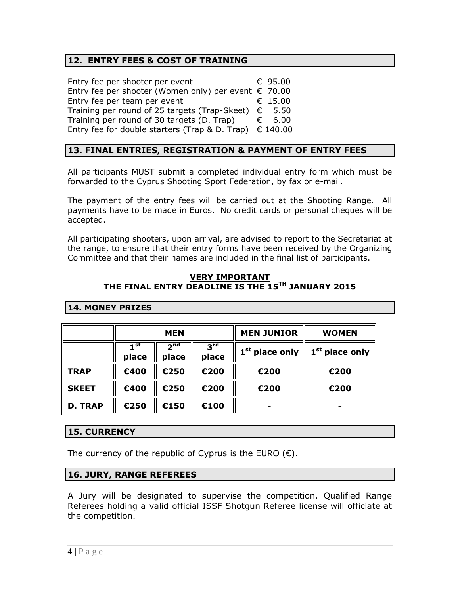## **12. ENTRY FEES & COST OF TRAINING**

| Entry fee per shooter per event                                  | € 95.00 |  |
|------------------------------------------------------------------|---------|--|
| Entry fee per shooter (Women only) per event $\epsilon$ 70.00    |         |  |
| Entry fee per team per event                                     | € 15.00 |  |
| Training per round of 25 targets (Trap-Skeet) $\epsilon$ 5.50    |         |  |
| Training per round of 30 targets (D. Trap)                       | € 6.00  |  |
| Entry fee for double starters (Trap & D. Trap) $\epsilon$ 140.00 |         |  |

## **13. FINAL ENTRIES, REGISTRATION & PAYMENT OF ENTRY FEES**

All participants MUST submit a completed individual entry form which must be forwarded to the Cyprus Shooting Sport Federation, by fax or e-mail.

The payment of the entry fees will be carried out at the Shooting Range. All payments have to be made in Euros. No credit cards or personal cheques will be accepted.

All participating shooters, upon arrival, are advised to report to the Secretariat at the range, to ensure that their entry forms have been received by the Organizing Committee and that their names are included in the final list of participants.

#### **VERY IMPORTANT THE FINAL ENTRY DEADLINE IS THE 15TH JANUARY 2015**

|                | <b>MEN</b>               |                          |                          | <b>MEN JUNIOR</b>          | <b>WOMEN</b>               |
|----------------|--------------------------|--------------------------|--------------------------|----------------------------|----------------------------|
|                | 1 <sup>st</sup><br>place | 2 <sub>nd</sub><br>place | 3 <sup>rd</sup><br>place | 1 <sup>st</sup> place only | 1 <sup>st</sup> place only |
| <b>TRAP</b>    | €400                     | €250                     | €200                     | €200                       | €200                       |
| <b>SKEET</b>   | €400                     | €250                     | €200                     | €200                       | €200                       |
| <b>D. TRAP</b> | €250                     | €150                     | €100                     | -                          | -                          |

### **14. MONEY PRIZES**

## **15. CURRENCY**

The currency of the republic of Cyprus is the EURO  $(\epsilon)$ .

## **16. JURY, RANGE REFEREES**

A Jury will be designated to supervise the competition. Qualified Range Referees holding a valid official ISSF Shotgun Referee license will officiate at the competition.